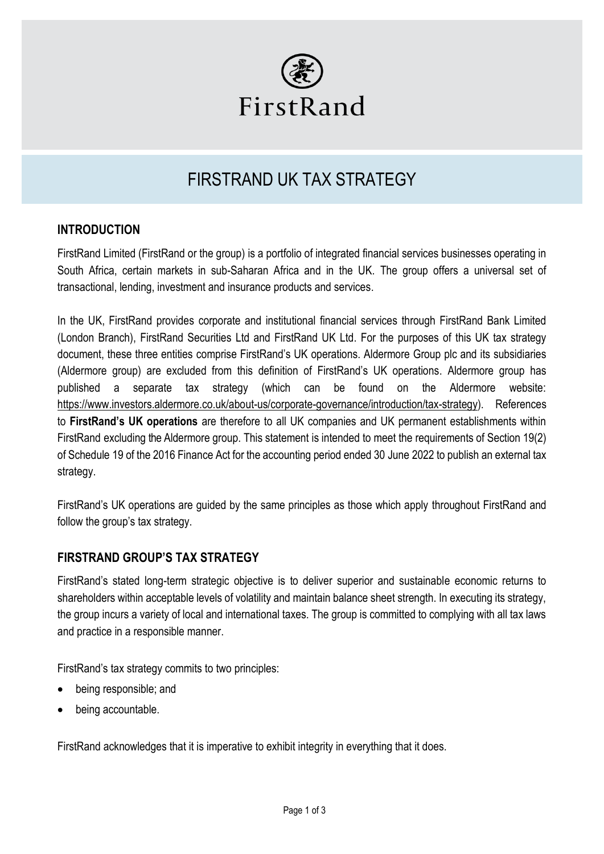

# FIRSTRAND UK TAX STRATEGY

## **INTRODUCTION**

FirstRand Limited (FirstRand or the group) is a portfolio of integrated financial services businesses operating in South Africa, certain markets in sub-Saharan Africa and in the UK. The group offers a universal set of transactional, lending, investment and insurance products and services.

In the UK, FirstRand provides corporate and institutional financial services through FirstRand Bank Limited (London Branch), FirstRand Securities Ltd and FirstRand UK Ltd. For the purposes of this UK tax strategy document, these three entities comprise FirstRand's UK operations. Aldermore Group plc and its subsidiaries (Aldermore group) are excluded from this definition of FirstRand's UK operations. Aldermore group has published a separate tax strategy (which can be found on the Aldermore website: [https://www.investors.aldermore.co.uk/about-us/corporate-governance/introduction/tax-strategy\)](https://www.investors.aldermore.co.uk/about-us/corporate-governance/introduction/tax-strategy). References to **FirstRand's UK operations** are therefore to all UK companies and UK permanent establishments within FirstRand excluding the Aldermore group. This statement is intended to meet the requirements of Section 19(2) of Schedule 19 of the 2016 Finance Act for the accounting period ended 30 June 2022 to publish an external tax strategy.

FirstRand's UK operations are guided by the same principles as those which apply throughout FirstRand and follow the group's tax strategy.

# **FIRSTRAND GROUP'S TAX STRATEGY**

FirstRand's stated long-term strategic objective is to deliver superior and sustainable economic returns to shareholders within acceptable levels of volatility and maintain balance sheet strength. In executing its strategy, the group incurs a variety of local and international taxes. The group is committed to complying with all tax laws and practice in a responsible manner.

FirstRand's tax strategy commits to two principles:

- being responsible; and
- being accountable.

FirstRand acknowledges that it is imperative to exhibit integrity in everything that it does.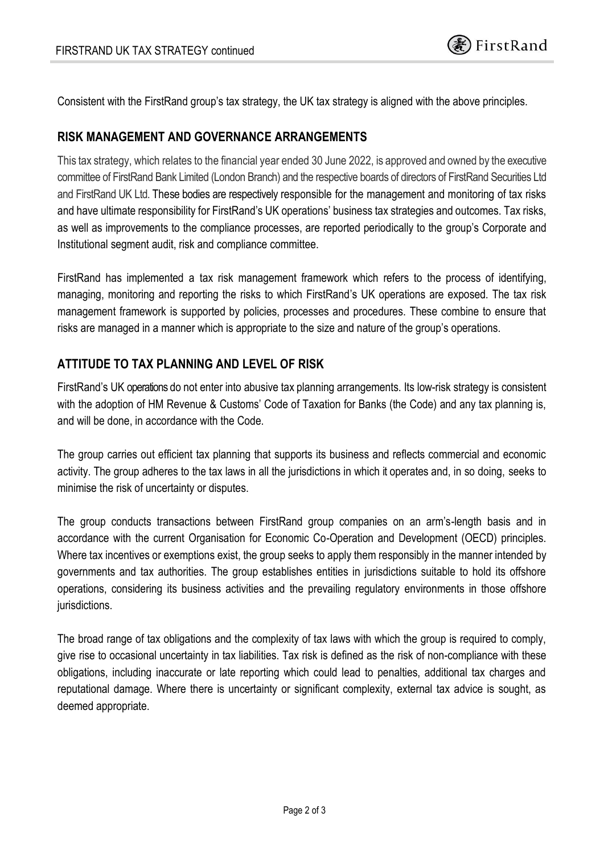Consistent with the FirstRand group's tax strategy, the UK tax strategy is aligned with the above principles.

#### **RISK MANAGEMENT AND GOVERNANCE ARRANGEMENTS**

This tax strategy, which relates to the financial year ended 30 June 2022, is approved and owned by the executive committee of FirstRand Bank Limited (London Branch) and the respective boards of directors of FirstRand Securities Ltd and FirstRand UK Ltd. These bodies are respectively responsible for the management and monitoring of tax risks and have ultimate responsibility for FirstRand's UK operations' business tax strategies and outcomes. Tax risks, as well as improvements to the compliance processes, are reported periodically to the group's Corporate and Institutional segment audit, risk and compliance committee.

FirstRand has implemented a tax risk management framework which refers to the process of identifying, managing, monitoring and reporting the risks to which FirstRand's UK operations are exposed. The tax risk management framework is supported by policies, processes and procedures. These combine to ensure that risks are managed in a manner which is appropriate to the size and nature of the group's operations.

## **ATTITUDE TO TAX PLANNING AND LEVEL OF RISK**

FirstRand's UK operations do not enter into abusive tax planning arrangements. Its low-risk strategy is consistent with the adoption of HM Revenue & Customs' Code of Taxation for Banks (the Code) and any tax planning is, and will be done, in accordance with the Code.

The group carries out efficient tax planning that supports its business and reflects commercial and economic activity. The group adheres to the tax laws in all the jurisdictions in which it operates and, in so doing, seeks to minimise the risk of uncertainty or disputes.

The group conducts transactions between FirstRand group companies on an arm's-length basis and in accordance with the current Organisation for Economic Co-Operation and Development (OECD) principles. Where tax incentives or exemptions exist, the group seeks to apply them responsibly in the manner intended by governments and tax authorities. The group establishes entities in jurisdictions suitable to hold its offshore operations, considering its business activities and the prevailing regulatory environments in those offshore jurisdictions.

The broad range of tax obligations and the complexity of tax laws with which the group is required to comply, give rise to occasional uncertainty in tax liabilities. Tax risk is defined as the risk of non-compliance with these obligations, including inaccurate or late reporting which could lead to penalties, additional tax charges and reputational damage. Where there is uncertainty or significant complexity, external tax advice is sought, as deemed appropriate.